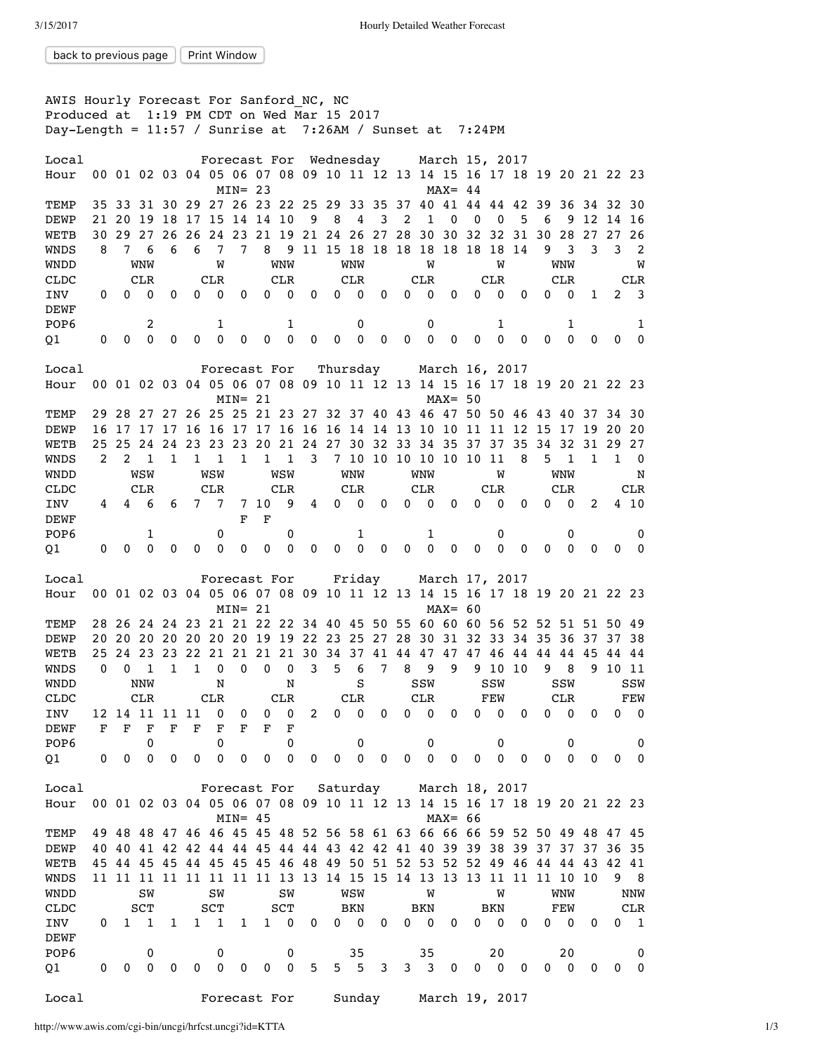back to previous page Frint Window

| AWIS Hourly Forecast For Sanford NC, NC                           |                                            |             |                |              |              |                                                                         |                |              |                                                    |                  |                |             |              |                   |                            |             |             |                |             |                |                          |             |              |                         |
|-------------------------------------------------------------------|--------------------------------------------|-------------|----------------|--------------|--------------|-------------------------------------------------------------------------|----------------|--------------|----------------------------------------------------|------------------|----------------|-------------|--------------|-------------------|----------------------------|-------------|-------------|----------------|-------------|----------------|--------------------------|-------------|--------------|-------------------------|
| Produced at 1:19 PM CDT on Wed Mar 15 2017                        |                                            |             |                |              |              |                                                                         |                |              |                                                    |                  |                |             |              |                   |                            |             |             |                |             |                |                          |             |              |                         |
| Day-Length = $11:57$ / Sunrise at<br>7:26AM / Sunset at<br>7:24PM |                                            |             |                |              |              |                                                                         |                |              |                                                    |                  |                |             |              |                   |                            |             |             |                |             |                |                          |             |              |                         |
|                                                                   |                                            |             |                |              |              |                                                                         |                |              |                                                    |                  |                |             |              |                   |                            |             |             |                |             |                |                          |             |              |                         |
| Local                                                             |                                            |             |                |              |              | Forecast For                                                            |                |              |                                                    |                  | Wednesday      |             |              |                   |                            |             |             | March 15, 2017 |             |                |                          |             |              |                         |
| Hour                                                              |                                            |             |                |              |              | 00 01 02 03 04 05 06 07 08 09 10 11 12 13 14 15 16 17 18 19 20 21 22 23 |                |              |                                                    |                  |                |             |              |                   |                            |             |             |                |             |                |                          |             |              |                         |
|                                                                   |                                            |             |                |              |              |                                                                         | $MIN = 23$     |              |                                                    |                  |                |             |              |                   |                            | $MAX = 44$  |             |                |             |                |                          |             |              |                         |
| TEMP                                                              |                                            |             |                |              |              | 35 33 31 30 29 27 26 23 22 25 29 33 35 37 40 41 44 44 42                |                |              |                                                    |                  |                |             |              |                   |                            |             |             |                |             | 39 36 34 32    |                          |             |              | - 30                    |
| DEWP                                                              | 21                                         | 20          | 19 18 17       |              |              | 15 14 14 10                                                             |                |              |                                                    | 9                | 8              | 4           | 3            | $\overline{2}$    | $\mathbf{1}$               | 0           | $\mathbf 0$ | 0              | 5           | 6              | 9                        | 12 14       |              | 16                      |
| WETB                                                              |                                            | 30 29 27    |                | 26           | 26           |                                                                         |                |              | 24 23 21 19 21 24 26 27 28                         |                  |                |             |              |                   | 30 30 32 32 31             |             |             |                |             | 30             | 28                       | 27 27       |              | 26                      |
| WNDS                                                              | 8                                          | 7           | 6              | 6            | 6            | 7                                                                       | $\overline{7}$ | 8            | 9                                                  |                  |                |             |              | 11 15 18 18 18 18 |                            | 18 18 18    |             |                | 14          | 9              | 3                        | 3           | 3            | $\overline{2}$          |
| WNDD                                                              |                                            |             | <b>WNW</b>     |              |              | W                                                                       |                |              | WNW                                                |                  |                | WNW         |              |                   | W                          |             |             | W              |             |                | WNW                      |             |              | W                       |
| CLDC                                                              |                                            |             | CLR            |              |              | <b>CLR</b>                                                              |                |              | <b>CLR</b>                                         |                  |                | <b>CLR</b>  |              |                   | <b>CLR</b>                 |             |             | <b>CLR</b>     |             |                | CLR                      |             |              | <b>CLR</b>              |
| INV                                                               | 0                                          | 0           | 0              | 0            | $\mathbf 0$  | 0                                                                       | 0              | $\mathbf 0$  | 0                                                  | 0                | 0              | $\mathbf 0$ | $\mathbf 0$  | $\mathbf 0$       | $\mathbf 0$                | 0           | $\mathbf 0$ | 0              | 0           | 0              | 0                        | 1           | 2            | 3                       |
| <b>DEWF</b>                                                       |                                            |             |                |              |              |                                                                         |                |              |                                                    |                  |                |             |              |                   |                            |             |             |                |             |                |                          |             |              |                         |
| POP <sub>6</sub>                                                  |                                            |             | 2              |              |              | 1                                                                       |                |              | $\mathbf{1}$                                       |                  |                | 0           |              |                   | 0                          |             |             | $\mathbf{1}$   |             |                | 1                        |             |              | 1                       |
| Q1                                                                | 0                                          | 0           | $\mathbf 0$    | $\mathbf 0$  | $\mathbf 0$  | $\mathbf 0$                                                             | $\mathbf 0$    | $\mathbf 0$  | $\mathbf 0$                                        | $\pmb{0}$        | 0              | $\mathbf 0$ | $\pmb{0}$    | $\pmb{0}$         | $\mathbf 0$                | 0           | 0           | $\mathbf 0$    | $\mathbf 0$ | 0              | $\mathbf 0$              | $\mathbf 0$ | 0            | $\mathbf 0$             |
|                                                                   | Forecast For<br>Thursday<br>March 16, 2017 |             |                |              |              |                                                                         |                |              |                                                    |                  |                |             |              |                   |                            |             |             |                |             |                |                          |             |              |                         |
| Local                                                             |                                            |             |                |              |              |                                                                         |                |              |                                                    |                  |                |             |              |                   |                            |             |             |                |             |                |                          |             |              |                         |
| Hour                                                              |                                            |             |                |              |              | 00 01 02 03 04 05 06 07 08 09 10 11 12 13 14 15 16 17 18 19 20 21 22 23 |                |              |                                                    |                  |                |             |              |                   |                            |             |             |                |             |                |                          |             |              |                         |
|                                                                   |                                            |             |                |              |              |                                                                         | $MIN = 21$     |              |                                                    |                  |                |             |              |                   |                            | $MAX = 50$  |             |                |             |                |                          |             |              |                         |
| TEMP                                                              |                                            |             |                |              |              | 29 28 27 27 26 25 25 21 23 27 32 37 40 43 46 47 50 50 46 43 40 37 34    |                |              |                                                    |                  |                |             |              |                   |                            |             |             |                |             |                |                          |             |              | 30                      |
| DEWP                                                              | 16                                         |             | 17 17          | 17           | 16           |                                                                         |                |              | 16 17 17 16 16 16 14 14 13 10 10 11 11 12 15 17 19 |                  |                |             |              |                   |                            |             |             |                |             |                |                          |             | -20          | 20                      |
| WETB                                                              |                                            | 25 25 24    |                | 24           |              | 23 23 23                                                                |                | 20           |                                                    |                  |                |             |              |                   | 21 24 27 30 32 33 34 35 37 |             |             | 37             | 35          | 34             | 32                       | 31 29       |              | 27                      |
| WNDS                                                              | 2                                          | 2           | 1              | 1            | $\mathbf{1}$ | 1                                                                       | $\mathbf{1}$   | $\mathbf{1}$ | $\mathbf{1}$                                       | 3                |                |             |              |                   | 7 10 10 10 10 10 10 11     |             |             |                | 8           | 5              | 1                        | $\mathbf 1$ | $\mathbf 1$  | 0                       |
| WNDD                                                              |                                            |             | WSW            | WSW<br>WSW   |              |                                                                         |                |              |                                                    | WNW              |                |             |              |                   | WNW                        |             |             | W              |             |                | <b>WNW</b>               |             |              | N                       |
| CLDC                                                              |                                            |             | CLR            |              |              | CLR                                                                     |                |              | <b>CLR</b>                                         |                  |                | CLR         |              |                   | CLR                        |             |             | <b>CLR</b>     |             |                | CLR                      |             |              | CLR                     |
| INV                                                               | 4                                          | 4           | 6              | 6            | 7            | 7                                                                       |                | 7 10         | 9                                                  | 4                | 0              | $\mathbf 0$ | $\mathbf 0$  | $\mathbf 0$       | $\mathbf 0$                | 0           | $\pmb{0}$   | 0              | $\mathbf 0$ | 0              | 0                        | 2           |              | 4 10                    |
| DEWF                                                              |                                            |             |                |              |              |                                                                         | F              | F            |                                                    |                  |                |             |              |                   |                            |             |             |                |             |                |                          |             |              |                         |
| POP <sub>6</sub>                                                  |                                            |             | 1              |              |              | 0                                                                       |                |              | 0                                                  |                  |                | 1           |              |                   | 1                          |             |             | 0              |             |                | 0                        |             |              | 0                       |
| Q1                                                                | 0                                          | 0           | $\mathbf 0$    | $\mathbf 0$  | $\mathbf 0$  | $\mathbf 0$                                                             | 0              | 0            | 0                                                  | $\pmb{0}$        | 0              | $\mathbf 0$ | $\mathbf 0$  | $\mathbf 0$       | $\pmb{0}$                  | 0           | 0           | $\mathbf 0$    | $\mathbf 0$ | 0              | $\mathbf 0$              | $\mathbf 0$ | $\mathbf{0}$ | $\mathbf 0$             |
|                                                                   |                                            |             |                |              |              |                                                                         |                |              |                                                    |                  |                |             |              |                   |                            |             |             |                |             |                |                          |             |              |                         |
| Local                                                             | Forecast For                               |             |                |              |              |                                                                         |                |              | Friday                                             |                  |                |             |              |                   | March 17, 2017             |             |             |                |             |                |                          |             |              |                         |
| Hour                                                              |                                            |             |                |              |              | 00 01 02 03 04 05 06 07 08 09 10 11 12 13 14 15 16 17 18 19 20 21 22 23 |                |              |                                                    |                  |                |             |              |                   |                            |             |             |                |             |                |                          |             |              |                         |
|                                                                   |                                            |             |                |              |              |                                                                         | $MIN = 21$     |              |                                                    |                  |                |             |              |                   |                            | $MAX = 60$  |             |                |             |                |                          |             |              |                         |
| TEMP                                                              |                                            |             |                |              |              | 28 26 24 24 23 21 21 22 22 34 40 45 50 55 60 60 60 56 52 52 51 51 50    |                |              |                                                    |                  |                |             |              |                   |                            |             |             |                |             |                |                          |             |              | -49                     |
| <b>DEWP</b>                                                       |                                            |             |                |              |              | 20 20 20 20 20 20 20 19 19 22 23 25 27 28                               |                |              |                                                    |                  |                |             |              |                   |                            | 30 31 32 33 |             |                | 34 35       |                | 36                       | 37          | 37           | 38                      |
| WETB                                                              | 25                                         |             | 24 23          | 23           | 22           | 21                                                                      | 21             | 21           | 21                                                 | 30               | 34             | 37          | 41           | 44                | 47                         | 47          | 47          | 46             | 44          | 44             | 44                       | 45          | 44           | 44                      |
| WNDS                                                              | $\Omega$                                   | 0           | 1              | 1            | 1            | $\mathbf 0$                                                             | 0              | 0            | 0                                                  | 3                | 5              | 6           | 7            | 8                 | 9                          | 9           | 9           | 10             | 10          | 9              | 8                        | 9           | 10           | 11                      |
| WNDD                                                              |                                            |             | NNW            |              |              | N                                                                       |                |              | N                                                  |                  |                | S           |              |                   | SSW                        |             |             | SSW            |             |                | SSW                      |             |              | SSW                     |
| CLDC                                                              |                                            |             | CLR            |              |              | CLR                                                                     |                |              | <b>CLR</b>                                         |                  |                | CLR         |              |                   | CLR                        |             |             | FEW            |             |                | CLR                      |             |              | FEW                     |
| INV                                                               |                                            |             | 12 14 11 11 11 |              |              | 0                                                                       | 0              | $\pmb{0}$    | $\pmb{0}$                                          | $\boldsymbol{2}$ | $\mathbf 0$    | $\pmb{0}$   | $\pmb{0}$    | $\pmb{0}$         | $\mathbf 0$                | $\pmb{0}$   | $\pmb{0}$   | $\pmb{0}$      | $\pmb{0}$   | 0              | $\pmb{0}$                | 0           | $\mathbf 0$  | $\overline{\mathbf{0}}$ |
| <b>DEWF</b>                                                       | F                                          | F           | $\mathbf F$    | F            | F            | F                                                                       | F              | F            | F                                                  |                  |                |             |              |                   |                            |             |             |                |             |                |                          |             |              |                         |
| POP <sub>6</sub>                                                  |                                            |             | 0              |              |              | 0                                                                       |                |              | 0                                                  |                  |                | 0           |              |                   | 0                          |             |             | 0              |             |                | 0                        |             |              | 0                       |
| Q1                                                                | 0                                          | 0           | $\mathbf 0$    | $\pmb{0}$    | $\pmb{0}$    | $\mathbf 0$                                                             | $\mathbf 0$    | $\mathbf 0$  | 0                                                  | 0                | $\mathbf 0$    | $\pmb{0}$   | $\mathbf 0$  | $\pmb{0}$         | $\pmb{0}$                  | $\pmb{0}$   | $\mathbf 0$ | $\mathbf 0$    | $\pmb{0}$   | $\mathbf 0$    | $\mathbf 0$              | $\mathbf 0$ | $\mathbf 0$  | $\mathbf 0$             |
|                                                                   |                                            |             |                |              |              |                                                                         |                |              |                                                    |                  |                |             |              |                   |                            |             |             |                |             |                |                          |             |              |                         |
| Local                                                             | Forecast For Saturday March 18, 2017       |             |                |              |              |                                                                         |                |              |                                                    |                  |                |             |              |                   |                            |             |             |                |             |                |                          |             |              |                         |
| Hour                                                              |                                            |             |                |              |              | 00 01 02 03 04 05 06 07 08 09 10 11 12 13 14 15 16 17 18 19 20 21 22 23 |                |              |                                                    |                  |                |             |              |                   |                            |             |             |                |             |                |                          |             |              |                         |
|                                                                   |                                            |             |                |              |              |                                                                         | $MIN = 45$     |              |                                                    |                  |                |             |              |                   |                            | $MAX = 66$  |             |                |             |                |                          |             |              |                         |
| TEMP                                                              |                                            |             |                |              |              | 49 48 48 47 46 46 45 45 48 52 56 58 61 63 66 66 66 59 52 50 49 48 47 45 |                |              |                                                    |                  |                |             |              |                   |                            |             |             |                |             |                |                          |             |              |                         |
| DEWP                                                              |                                            |             |                |              |              | 40 40 41 42 42 44 44 45 44 44 43 42 42 41 40 39 39 38 39 37 37 37       |                |              |                                                    |                  |                |             |              |                   |                            |             |             |                |             |                |                          |             |              | 36 35                   |
| WETB                                                              |                                            |             |                |              |              | 45 44 45 45 44 45 45 45 46 48 49 50 51 52 53 52 52 49 46 44 44 43       |                |              |                                                    |                  |                |             |              |                   |                            |             |             |                |             |                |                          |             |              | 42 41                   |
| WNDS                                                              |                                            |             |                |              |              | 11 11 11 11 11 11 11 11 13 13 14 15 15 14 13 13 13 11 11 11 10          |                |              |                                                    |                  |                |             |              |                   |                            |             |             |                |             |                |                          | 10          | 9            | $_{\rm 8}$              |
| WNDD                                                              |                                            |             | SW             |              |              | SW                                                                      |                |              | SW                                                 |                  |                | WSW         |              |                   | W                          |             |             | W              |             |                | <b>WNW</b>               |             |              | NNW                     |
| CLDC                                                              |                                            |             | SCT            |              |              | SCT                                                                     |                |              | SCT                                                |                  |                | <b>BKN</b>  |              |                   | BKN                        |             |             | <b>BKN</b>     |             |                | FEW                      |             |              | CLR                     |
| INV                                                               | 0                                          | 1           | 1              | $\mathbf{1}$ | $\mathbf{1}$ | $\mathbf{1}$                                                            | $\mathbf{1}$   | $\mathbf{1}$ | 0                                                  | $\mathbf 0$      |                | $0\qquad 0$ | $\mathbf 0$  | $\pmb{0}$         | $\mathbf 0$                | 0           | $\mathbf 0$ | 0              | 0           | 0              | $\mathbf 0$              | 0           | 0            | 1                       |
| <b>DEWF</b>                                                       |                                            |             |                |              |              |                                                                         |                |              |                                                    |                  |                |             |              |                   |                            |             |             |                |             |                |                          |             |              |                         |
|                                                                   |                                            |             |                |              |              |                                                                         |                |              |                                                    |                  |                |             |              |                   |                            |             |             |                |             |                |                          |             |              | 0                       |
|                                                                   |                                            |             |                |              |              |                                                                         |                |              |                                                    |                  |                |             |              |                   |                            |             |             |                |             |                |                          |             |              |                         |
| POP <sub>6</sub>                                                  |                                            |             | 0              |              |              | 0                                                                       |                |              | 0                                                  |                  |                | 35          |              |                   | 35                         |             |             | 20             |             |                | 20                       |             |              |                         |
| Q1                                                                | $\mathbf 0$                                | $\mathbf 0$ | $\mathbf 0$    | $\pmb{0}$    | $\mathbf 0$  | $\mathbf 0$                                                             | $\mathbf{0}$   | $\mathbf{0}$ | $\mathbf 0$                                        | 5                | 5 <sub>5</sub> | 5           | $\mathbf{3}$ |                   | 3 <sup>3</sup>             | $\mathbf 0$ |             | $0\qquad 0$    | $\mathbf 0$ | $\overline{0}$ | $\overline{\phantom{0}}$ | $\mathbf 0$ | $\mathbf 0$  | $\mathbf 0$             |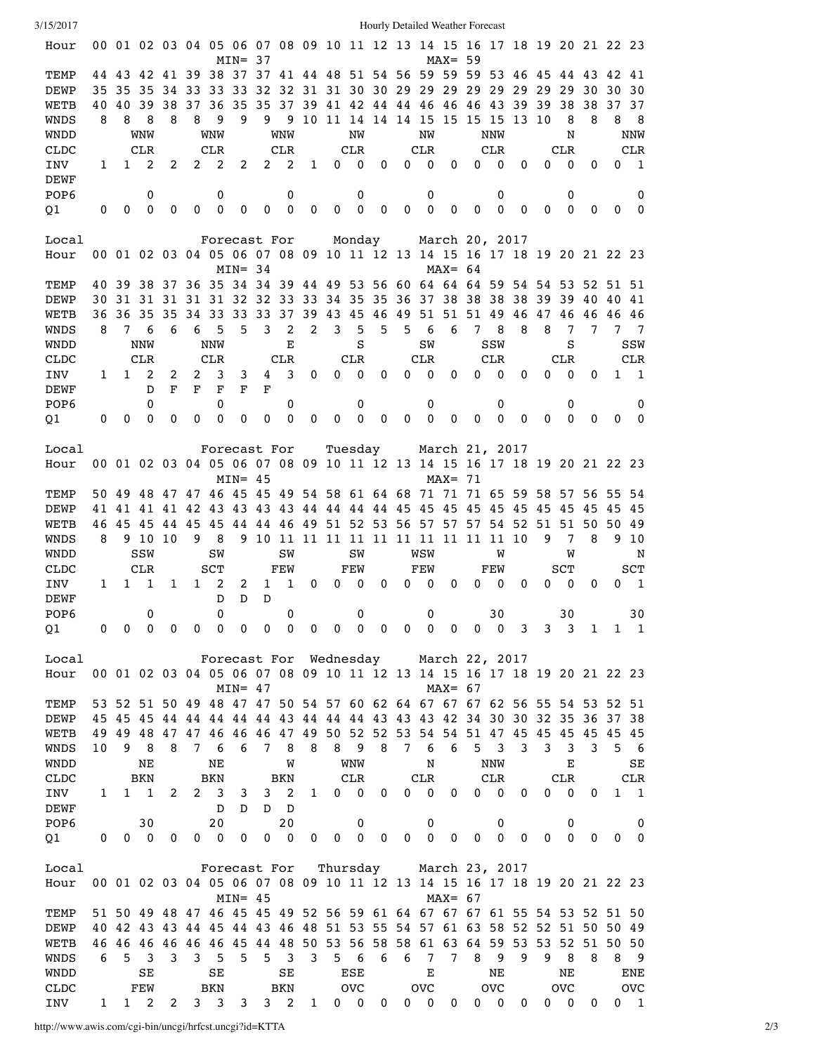| 3/15/2017        |              |              |              |                |                |                  |            |                 |                         |              |             |                               |                   |             | Hourly Detailed Weather Forecast                                        |             |                         |                  |                |             |              |             |              |                   |
|------------------|--------------|--------------|--------------|----------------|----------------|------------------|------------|-----------------|-------------------------|--------------|-------------|-------------------------------|-------------------|-------------|-------------------------------------------------------------------------|-------------|-------------------------|------------------|----------------|-------------|--------------|-------------|--------------|-------------------|
| Hour             |              |              |              |                |                |                  | $MIN = 37$ |                 |                         |              |             |                               |                   |             | 00 01 02 03 04 05 06 07 08 09 10 11 12 13 14 15 16 17 18 19 20 21 22 23 | $MAX = 59$  |                         |                  |                |             |              |             |              |                   |
| TEMP             |              |              |              | 44 43 42 41 39 |                |                  |            |                 |                         |              |             |                               |                   |             | 38 37 37 41 44 48 51 54 56 59 59 59 53                                  |             |                         |                  | 46 45          |             | 44           | 43 42       |              | -41               |
| DEWP             | 35           | 35           | 35           | 34             | 33             | 33               | 33         | 32 32           |                         |              |             |                               |                   |             | 31 31 30 30 29 29 29 29 29                                              |             |                         |                  | 29             | 29          | 29           | 30          | 30           | 30                |
| <b>WETB</b>      | 40           | 40           | 39           | 38             | 37             | 36               | 35         | 35              | 37                      |              |             |                               | 39 41 42 44 44    |             | 46                                                                      | 46          | 46                      | 43               | 39             | 39          | 38           | 38          | 37           | 37                |
| WNDS             | 8            | 8            | 8            | 8              | 8              | 9                | 9          | 9               | 9                       |              |             |                               | 10 11 14 14 14 15 |             |                                                                         |             |                         |                  | 15 15 15 13 10 |             | 8            | 8           | 8            | -8                |
| <b>WNDD</b>      |              |              | WNW          |                |                | WNW              |            |                 | WNW                     |              |             | ΝW                            |                   |             | ΝW                                                                      |             |                         | NNW              |                |             | N            |             |              | <b>NNW</b>        |
| CLDC             |              |              | <b>CLR</b>   |                |                | CLR              |            |                 | <b>CLR</b>              |              |             | CLR                           |                   |             | CLR                                                                     |             |                         | <b>CLR</b>       |                |             |              |             |              | <b>CLR</b>        |
|                  |              |              |              |                |                |                  |            |                 |                         |              |             |                               |                   |             |                                                                         |             |                         |                  |                |             | CLR          |             |              |                   |
| INV              | 1            | 1            | 2            | 2              | 2              | 2                | 2          | 2               | 2                       | 1            | 0           | $\mathbf 0$                   | 0                 | 0           | $\mathbf 0$                                                             | 0           | 0                       | 0                | 0              | 0           | $\mathbf{0}$ | 0           | 0            | 1                 |
| <b>DEWF</b>      |              |              |              |                |                |                  |            |                 |                         |              |             |                               |                   |             |                                                                         |             |                         |                  |                |             |              |             |              |                   |
| POP <sub>6</sub> |              |              | 0            |                |                | 0                |            |                 | 0                       |              |             | 0                             |                   |             | 0                                                                       |             |                         | 0                |                |             | 0            |             |              | 0                 |
| Q1               | 0            | $\mathbf 0$  | $\Omega$     | $\mathbf 0$    | $\mathbf 0$    | 0                | $\pmb{0}$  | $\pmb{0}$       | $\mathbf 0$             | $\pmb{0}$    | $\pmb{0}$   | $\mathbf 0$                   | $\pmb{0}$         | $\pmb{0}$   | 0                                                                       | 0           | $\mathbf 0$             | 0                | $\mathbf 0$    | $\mathbf 0$ | 0            | $\mathbf 0$ | $\mathbf 0$  | $\mathbf 0$       |
|                  |              |              |              |                |                |                  |            |                 |                         |              |             |                               |                   |             |                                                                         |             |                         |                  |                |             |              |             |              |                   |
| Local            |              |              |              |                |                | Forecast For     |            |                 |                         |              |             | Monday                        |                   |             |                                                                         |             | March 20, 2017          |                  |                |             |              |             |              |                   |
| Hour             |              |              |              |                |                |                  |            |                 |                         |              |             |                               |                   |             | 00 01 02 03 04 05 06 07 08 09 10 11 12 13 14 15 16 17 18 19 20 21 22 23 |             |                         |                  |                |             |              |             |              |                   |
|                  |              |              |              |                |                |                  | $MIN = 34$ |                 |                         |              |             |                               |                   |             |                                                                         | $MAX = 64$  |                         |                  |                |             |              |             |              |                   |
| TEMP             | 40           |              | 39 38        | - 37           | 36             | -35              |            |                 |                         |              |             |                               |                   |             | 34 34 39 44 49 53 56 60 64 64 64 59                                     |             |                         |                  | 54             | 54 53       |              | 52          | 51           | 51                |
| <b>DEWP</b>      | 30           |              | 31 31        | 31             | 31             | 31               | 32 32      |                 | 33                      |              | 33 34 35    |                               | 35                | 36          | 37 38                                                                   |             | 38                      | 38               | 38             | 39          | 39           | 40          | 40           | 41                |
| WETB             | 36           | 36           | 35           | 35             | 34             | 33               | 33         | 33              | 37                      |              | 39 43       | 45                            | 46                | 49          | 51                                                                      | 51          | 51 49                   |                  | 46             | 47          | 46           | 46          | 46           | 46                |
| WNDS             | 8            | 7            | 6            | 6              | 6              | 5                | 5          | 3               | 2                       | 2            | 3           | 5                             | 5                 | 5           | 6                                                                       | 6           | 7                       | 8                | 8              | 8           | 7            | 7           | 7            | $\overline{7}$    |
| WNDD             |              |              | NNW          |                |                | NNW              |            |                 | Е                       |              |             | S                             |                   |             | SW                                                                      |             |                         | SSW              |                |             | S            |             |              | SSW               |
| CLDC             |              |              | <b>CLR</b>   |                |                | <b>CLR</b>       |            |                 | <b>CLR</b>              |              |             | CLR                           |                   |             | CLR                                                                     |             |                         | CLR              |                |             | CLR          |             |              | <b>CLR</b>        |
| INV              | 1            | $\mathbf{1}$ | 2            | 2              | 2              | 3                | 3          | 4               | 3                       | 0            | 0           | 0                             | 0                 | $\mathbf 0$ | 0                                                                       | 0           | 0                       | 0                | 0              | 0           | $\mathbf{0}$ | 0           | 1            | $\mathbf{1}$      |
| <b>DEWF</b>      |              |              | D            | F              | $\mathbf F$    | F                | F          | F               |                         |              |             |                               |                   |             |                                                                         |             |                         |                  |                |             |              |             |              |                   |
| POP <sub>6</sub> |              |              | 0            |                |                | 0                |            |                 | 0                       |              |             |                               |                   |             | $\pmb{0}$                                                               |             |                         |                  |                |             | 0            |             |              | 0                 |
|                  | 0            | $\mathbf 0$  | $\Omega$     | 0              | 0              | 0                | 0          | $\mathbf 0$     | $\mathbf 0$             | $\mathbf 0$  | $\mathbf 0$ | 0<br>$\mathbf 0$              | $\mathbf 0$       | $\pmb{0}$   | $\mathbf 0$                                                             | $\mathbf 0$ | $\mathbf 0$             | 0<br>$\mathbf 0$ | $\mathbf 0$    | $\mathbf 0$ | $\mathbf{0}$ | $\mathbf 0$ | $\mathbf 0$  |                   |
| Q1               |              |              |              |                |                |                  |            |                 |                         |              |             |                               |                   |             |                                                                         |             |                         |                  |                |             |              |             |              | 0                 |
| Local            |              |              |              |                |                | Forecast For     |            |                 |                         |              |             | Tuesday                       |                   |             |                                                                         |             | March 21, 2017          |                  |                |             |              |             |              |                   |
| Hour             |              |              |              |                |                |                  |            |                 |                         |              |             |                               |                   |             | 00 01 02 03 04 05 06 07 08 09 10 11 12 13 14 15 16 17 18 19 20 21 22 23 |             |                         |                  |                |             |              |             |              |                   |
|                  |              |              |              |                |                |                  |            |                 |                         |              |             |                               |                   |             |                                                                         |             |                         |                  |                |             |              |             |              |                   |
|                  |              |              |              |                |                |                  | $MIN = 45$ |                 |                         |              |             |                               |                   |             |                                                                         | $MAX =$     | -71                     |                  |                |             |              |             |              |                   |
| TEMP             | 50           |              | 49 48 47     |                | 47             |                  |            |                 | 46 45 45 49 54 58 61 64 |              |             |                               |                   | 68          | 71 71                                                                   |             | 71                      | 65               | 59             | 58          | 57           | 56          | -55          | 54                |
| DEWP             | 41           |              |              | 41 41 41       |                | 42 43 43         |            |                 |                         |              |             |                               |                   |             | 43 43 44 44 44 44 45 45 45                                              |             | 45 45                   |                  | 45             | 45          | 45           | 45          | 45           | 45                |
| WETB             | 46           | 45 45        |              | 44 45          |                | 45               |            |                 |                         |              |             |                               |                   |             | 44 44 46 49 51 52 53 56 57 57 57                                        |             |                         | 54               | 52             | 51          | 51           | 50          | 50           | 49                |
| WNDS             | 8            |              | 9 10         | 10             | 9              | 8                | 9          | 10 11           |                         |              |             |                               | 11 11 11 11 11 11 |             |                                                                         |             | 11 11                   | 11               | 10             | 9           | 7            | 8           | 9            | 10                |
| WNDD             |              |              | SSW          |                |                | SW               |            |                 | SW                      |              |             | SW                            |                   |             | WSW                                                                     |             |                         | W                |                |             | W            |             |              | N                 |
| CLDC             |              |              | CLR          |                |                | SCT              |            |                 | FEW                     |              |             | FEW                           |                   |             | FEW                                                                     |             |                         | FEW              |                |             | SCT          |             |              | <b>SCT</b>        |
| INV              | 1            | 1            | 1            | 1              | 1              | 2                | 2          | 1               | 1                       | 0            | 0           | 0                             | 0                 | 0           | 0                                                                       | 0           | 0                       | 0                | 0              | 0           | 0            | 0           | 0            | 1                 |
| DEWF             |              |              |              |                |                | D                | D          | D               |                         |              |             |                               |                   |             |                                                                         |             |                         |                  |                |             |              |             |              |                   |
| POP <sub>6</sub> |              |              | $\Omega$     |                |                | 0                |            |                 | 0                       |              |             | $\Omega$                      |                   |             | $\Omega$                                                                |             |                         | 30               |                |             | $30$         |             |              | 30                |
| Q1               | 0            | 0            | 0            | $\mathbf 0$    | $\mathbf 0$    | $\pmb{0}$        |            | $0\qquad 0$     | $\mathbf 0$             |              | $0\qquad 0$ | $\mathbf 0$                   | $\mathbf 0$       | 0           | $\mathbf 0$                                                             | $\mathbf 0$ | $\overline{\mathbf{0}}$ | $\mathbf 0$      | 3              | 3           | 3            | 1           | $\mathbf{1}$ | $\overline{1}$    |
|                  |              |              |              |                |                |                  |            |                 |                         |              |             |                               |                   |             |                                                                         |             |                         |                  |                |             |              |             |              |                   |
| Local            |              |              |              |                |                |                  |            |                 |                         |              |             |                               |                   |             | Forecast For Wednesday March 22, 2017                                   |             |                         |                  |                |             |              |             |              |                   |
| Hour             |              |              |              |                |                |                  |            |                 |                         |              |             |                               |                   |             | 00 01 02 03 04 05 06 07 08 09 10 11 12 13 14 15 16 17 18 19 20 21 22 23 |             |                         |                  |                |             |              |             |              |                   |
|                  |              |              |              |                |                |                  | $MIN = 47$ |                 |                         |              |             |                               |                   |             |                                                                         | $MAX = 67$  |                         |                  |                |             |              |             |              |                   |
| TEMP             |              |              |              |                |                |                  |            |                 |                         |              |             |                               |                   |             | 53 52 51 50 49 48 47 47 50 54 57 60 62 64 67 67 67 62 56 55 54 53 52 51 |             |                         |                  |                |             |              |             |              |                   |
| DEWP             | 45           |              | 45 45 44     |                |                |                  |            |                 |                         |              |             |                               |                   |             | 44 44 44 44 43 44 44 44 43 43 43 42 34 30 30                            |             |                         |                  |                |             | 32 35 36 37  |             |              | 38                |
| WETB             | 49           | 49           | 48           | 47             |                | 47 46            | 46         |                 | 46 47                   |              |             |                               | 49 50 52 52 53    |             |                                                                         |             | 54 54 51 47 45          |                  |                | 45          | 45           | 45          | 45           | 45                |
| WNDS             | 10           | 9            | 8            | 8              | 7              | 6                | 6          | $7\overline{ }$ | 8                       | 8            | 8           | 9                             | 8                 | 7           | 6                                                                       | 6           | 5                       | 3                | 3              | 3           | 3            | 3           | 5            | $6\overline{6}$   |
|                  |              |              | NE           |                |                | NE               |            |                 |                         |              |             |                               |                   |             |                                                                         |             |                         | <b>NNW</b>       |                |             | Е            |             |              |                   |
| WNDD             |              |              |              |                |                |                  |            |                 | W                       |              |             | WNW                           |                   |             | N                                                                       |             |                         |                  |                |             |              |             |              | SE                |
| <b>CLDC</b>      |              |              | BKN          |                |                | BKN              |            |                 | BKN                     |              |             | CLR                           |                   |             | CLR                                                                     |             |                         | CLR              |                |             | CLR          |             |              | CLR               |
| INV              | $\mathbf{1}$ | $\mathbf{1}$ | $\mathbf{1}$ | 2              | $\overline{2}$ | 3                | 3          | 3               | 2                       | $\mathbf{1}$ | $\mathbf 0$ | $\mathbf 0$                   | $\mathbf 0$       | $\mathbf 0$ | $\mathbf 0$                                                             | $\pmb{0}$   | $\mathbf 0$             | $\pmb{0}$        | $\mathbf 0$    | 0           | 0            | 0           | $\mathbf{1}$ | $\overline{1}$    |
| <b>DEWF</b>      |              |              |              |                |                | D                | D          | D               | D                       |              |             |                               |                   |             |                                                                         |             |                         |                  |                |             |              |             |              |                   |
| POP <sub>6</sub> |              |              | 30           |                |                | 20               |            |                 | 20                      |              |             | 0                             |                   |             | 0                                                                       |             |                         | 0                |                |             | 0            |             |              | 0                 |
| Q1               | 0            | 0            | 0            | 0              | $\mathbf 0$    | $\pmb{0}$        | $\pmb{0}$  | $\mathbf 0$     | $\mathbf 0$             | 0            | $\pmb{0}$   | $\pmb{0}$                     | $\mathbf 0$       | $\pmb{0}$   | $\pmb{0}$                                                               | $\pmb{0}$   | $\pmb{0}$               | $\mathbf 0$      | $\mathbf 0$    | $\mathbf 0$ | $\mathbf 0$  | $\mathbf 0$ | $\mathbf 0$  | $\mathbf 0$       |
|                  |              |              |              |                |                |                  |            |                 |                         |              |             |                               |                   |             |                                                                         |             |                         |                  |                |             |              |             |              |                   |
| Local            |              |              |              |                |                |                  |            |                 |                         |              |             |                               |                   |             | Forecast For Thursday March 23, 2017                                    |             |                         |                  |                |             |              |             |              |                   |
| Hour             |              |              |              |                |                |                  |            |                 |                         |              |             |                               |                   |             | 00 01 02 03 04 05 06 07 08 09 10 11 12 13 14 15 16 17 18 19 20 21 22 23 |             |                         |                  |                |             |              |             |              |                   |
|                  |              |              |              |                |                |                  | $MIN = 45$ |                 |                         |              |             |                               |                   |             |                                                                         | $MAX = 67$  |                         |                  |                |             |              |             |              |                   |
| TEMP             |              |              |              |                |                |                  |            |                 |                         |              |             |                               |                   |             | 51 50 49 48 47 46 45 45 49 52 56 59 61 64 67 67 67 61 55 54 53 52 51 50 |             |                         |                  |                |             |              |             |              |                   |
| <b>DEWP</b>      |              |              |              | 40 42 43 43    | 44             |                  |            |                 |                         |              |             |                               |                   |             | 45 44 43 46 48 51 53 55 54 57 61 63 58 52 52 51 50 50 49                |             |                         |                  |                |             |              |             |              |                   |
| <b>WETB</b>      | 46           | 46           | 46           | 46             | 46             | 46 45            |            |                 | 44 48                   |              |             |                               |                   |             | 50 53 56 58 58 61 63 64 59 53                                           |             |                         |                  |                | 53          | 52           |             | 51 50 50     |                   |
| <b>WNDS</b>      |              | 5            | 3            | 3              | 3              | 5                | 5          | 5               | 3                       | 3            | 5           | 6                             | 6                 | 6           | $\overline{7}$                                                          | 7           | 8                       | 9                | 9              | 9           | 8            | 8           | 8            | $^{9}$            |
|                  | 6            |              |              |                |                |                  |            |                 |                         |              |             |                               |                   |             |                                                                         |             |                         |                  |                |             |              |             |              |                   |
|                  |              |              | SE           |                |                |                  |            |                 |                         |              |             |                               |                   |             | Е                                                                       |             |                         | NΕ               |                |             | NΕ           |             |              |                   |
| WNDD<br>CLDC     |              |              | FEW          |                |                | SE<br><b>BKN</b> |            |                 | SE<br>BKN               |              |             | ESE<br>$_{\mbox{\small OVC}}$ |                   |             | <b>OVC</b>                                                              |             |                         | <b>OVC</b>       |                |             | <b>OVC</b>   |             |              | ENE<br><b>OVC</b> |